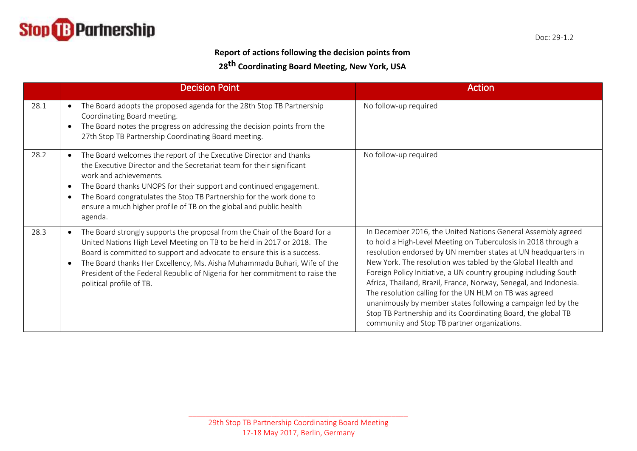

#### **Report of actions following the decision points from**

**28th Coordinating Board Meeting, New York, USA**

|      | <b>Decision Point</b>                                                                                                                                                                                                                                                                                                                                                                                                    | <b>Action</b>                                                                                                                                                                                                                                                                                                                                                                                                                                                                                                                                                                                                                                       |
|------|--------------------------------------------------------------------------------------------------------------------------------------------------------------------------------------------------------------------------------------------------------------------------------------------------------------------------------------------------------------------------------------------------------------------------|-----------------------------------------------------------------------------------------------------------------------------------------------------------------------------------------------------------------------------------------------------------------------------------------------------------------------------------------------------------------------------------------------------------------------------------------------------------------------------------------------------------------------------------------------------------------------------------------------------------------------------------------------------|
| 28.1 | The Board adopts the proposed agenda for the 28th Stop TB Partnership<br>Coordinating Board meeting.<br>The Board notes the progress on addressing the decision points from the<br>27th Stop TB Partnership Coordinating Board meeting.                                                                                                                                                                                  | No follow-up required                                                                                                                                                                                                                                                                                                                                                                                                                                                                                                                                                                                                                               |
| 28.2 | The Board welcomes the report of the Executive Director and thanks<br>the Executive Director and the Secretariat team for their significant<br>work and achievements.<br>The Board thanks UNOPS for their support and continued engagement.<br>The Board congratulates the Stop TB Partnership for the work done to<br>ensure a much higher profile of TB on the global and public health<br>agenda.                     | No follow-up required                                                                                                                                                                                                                                                                                                                                                                                                                                                                                                                                                                                                                               |
| 28.3 | The Board strongly supports the proposal from the Chair of the Board for a<br>United Nations High Level Meeting on TB to be held in 2017 or 2018. The<br>Board is committed to support and advocate to ensure this is a success.<br>The Board thanks Her Excellency, Ms. Aisha Muhammadu Buhari, Wife of the<br>President of the Federal Republic of Nigeria for her commitment to raise the<br>political profile of TB. | In December 2016, the United Nations General Assembly agreed<br>to hold a High-Level Meeting on Tuberculosis in 2018 through a<br>resolution endorsed by UN member states at UN headquarters in<br>New York. The resolution was tabled by the Global Health and<br>Foreign Policy Initiative, a UN country grouping including South<br>Africa, Thailand, Brazil, France, Norway, Senegal, and Indonesia.<br>The resolution calling for the UN HLM on TB was agreed<br>unanimously by member states following a campaign led by the<br>Stop TB Partnership and its Coordinating Board, the global TB<br>community and Stop TB partner organizations. |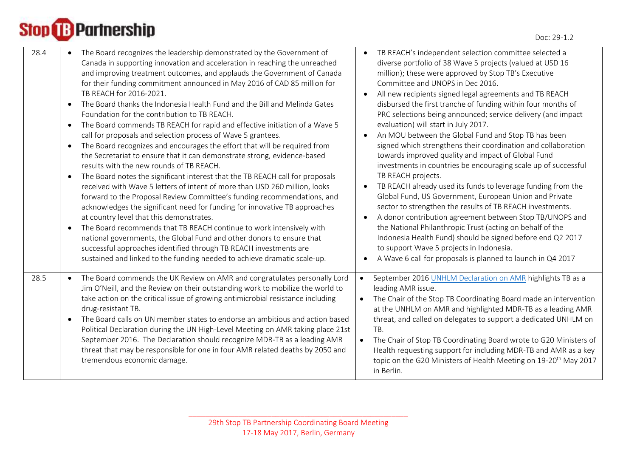| 28.4 | The Board recognizes the leadership demonstrated by the Government of<br>Canada in supporting innovation and acceleration in reaching the unreached<br>and improving treatment outcomes, and applauds the Government of Canada<br>for their funding commitment announced in May 2016 of CAD 85 million for<br>TB REACH for 2016-2021.<br>The Board thanks the Indonesia Health Fund and the Bill and Melinda Gates<br>Foundation for the contribution to TB REACH.<br>The Board commends TB REACH for rapid and effective initiation of a Wave 5<br>$\bullet$<br>call for proposals and selection process of Wave 5 grantees.<br>The Board recognizes and encourages the effort that will be required from<br>the Secretariat to ensure that it can demonstrate strong, evidence-based<br>results with the new rounds of TB REACH.<br>The Board notes the significant interest that the TB REACH call for proposals<br>received with Wave 5 letters of intent of more than USD 260 million, looks<br>forward to the Proposal Review Committee's funding recommendations, and<br>acknowledges the significant need for funding for innovative TB approaches<br>at country level that this demonstrates.<br>The Board recommends that TB REACH continue to work intensively with<br>national governments, the Global Fund and other donors to ensure that<br>successful approaches identified through TB REACH investments are<br>sustained and linked to the funding needed to achieve dramatic scale-up. | TB REACH's independent selection committee selected a<br>diverse portfolio of 38 Wave 5 projects (valued at USD 16<br>million); these were approved by Stop TB's Executive<br>Committee and UNOPS in Dec 2016.<br>All new recipients signed legal agreements and TB REACH<br>disbursed the first tranche of funding within four months of<br>PRC selections being announced; service delivery (and impact<br>evaluation) will start in July 2017.<br>An MOU between the Global Fund and Stop TB has been<br>signed which strengthens their coordination and collaboration<br>towards improved quality and impact of Global Fund<br>investments in countries be encouraging scale up of successful<br>TB REACH projects.<br>TB REACH already used its funds to leverage funding from the<br>$\bullet$<br>Global Fund, US Government, European Union and Private<br>sector to strengthen the results of TB REACH investments.<br>A donor contribution agreement between Stop TB/UNOPS and<br>the National Philanthropic Trust (acting on behalf of the<br>Indonesia Health Fund) should be signed before end Q2 2017<br>to support Wave 5 projects in Indonesia.<br>A Wave 6 call for proposals is planned to launch in Q4 2017 |
|------|----------------------------------------------------------------------------------------------------------------------------------------------------------------------------------------------------------------------------------------------------------------------------------------------------------------------------------------------------------------------------------------------------------------------------------------------------------------------------------------------------------------------------------------------------------------------------------------------------------------------------------------------------------------------------------------------------------------------------------------------------------------------------------------------------------------------------------------------------------------------------------------------------------------------------------------------------------------------------------------------------------------------------------------------------------------------------------------------------------------------------------------------------------------------------------------------------------------------------------------------------------------------------------------------------------------------------------------------------------------------------------------------------------------------------------------------------------------------------------------------------------|-------------------------------------------------------------------------------------------------------------------------------------------------------------------------------------------------------------------------------------------------------------------------------------------------------------------------------------------------------------------------------------------------------------------------------------------------------------------------------------------------------------------------------------------------------------------------------------------------------------------------------------------------------------------------------------------------------------------------------------------------------------------------------------------------------------------------------------------------------------------------------------------------------------------------------------------------------------------------------------------------------------------------------------------------------------------------------------------------------------------------------------------------------------------------------------------------------------------------------|
| 28.5 | The Board commends the UK Review on AMR and congratulates personally Lord<br>Jim O'Neill, and the Review on their outstanding work to mobilize the world to<br>take action on the critical issue of growing antimicrobial resistance including<br>drug-resistant TB.<br>The Board calls on UN member states to endorse an ambitious and action based<br>Political Declaration during the UN High-Level Meeting on AMR taking place 21st<br>September 2016. The Declaration should recognize MDR-TB as a leading AMR<br>threat that may be responsible for one in four AMR related deaths by 2050 and<br>tremendous economic damage.                                                                                                                                                                                                                                                                                                                                                                                                                                                                                                                                                                                                                                                                                                                                                                                                                                                                      | September 2016 UNHLM Declaration on AMR highlights TB as a<br>$\bullet$<br>leading AMR issue.<br>The Chair of the Stop TB Coordinating Board made an intervention<br>at the UNHLM on AMR and highlighted MDR-TB as a leading AMR<br>threat, and called on delegates to support a dedicated UNHLM on<br>TB.<br>The Chair of Stop TB Coordinating Board wrote to G20 Ministers of<br>Health requesting support for including MDR-TB and AMR as a key<br>topic on the G20 Ministers of Health Meeting on 19-20 <sup>th</sup> May 2017<br>in Berlin.                                                                                                                                                                                                                                                                                                                                                                                                                                                                                                                                                                                                                                                                              |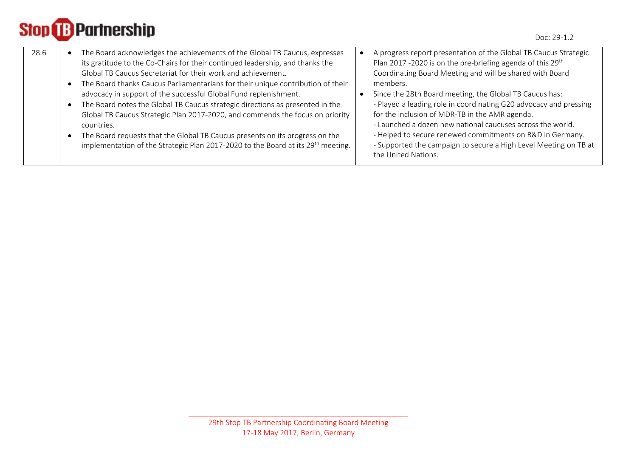| 28.6 | The Board acknowledges the achievements of the Global TB Caucus, expresses<br>its gratitude to the Co-Chairs for their continued leadership, and thanks the<br>Global TB Caucus Secretariat for their work and achievement.<br>The Board thanks Caucus Parliamentarians for their unique contribution of their<br>advocacy in support of the successful Global Fund replenishment.<br>The Board notes the Global TB Caucus strategic directions as presented in the<br>Global TB Caucus Strategic Plan 2017-2020, and commends the focus on priority<br>countries.<br>The Board requests that the Global TB Caucus presents on its progress on the<br>implementation of the Strategic Plan 2017-2020 to the Board at its 29 <sup>th</sup> meeting. | A progress report presentation of the Global TB Caucus Strategic<br>Plan 2017 -2020 is on the pre-briefing agenda of this 29 <sup>th</sup><br>Coordinating Board Meeting and will be shared with Board<br>members.<br>Since the 28th Board meeting, the Global TB Caucus has:<br>- Played a leading role in coordinating G20 advocacy and pressing<br>for the inclusion of MDR-TB in the AMR agenda.<br>- Launched a dozen new national caucuses across the world.<br>- Helped to secure renewed commitments on R&D in Germany.<br>- Supported the campaign to secure a High Level Meeting on TB at<br>the United Nations. |
|------|----------------------------------------------------------------------------------------------------------------------------------------------------------------------------------------------------------------------------------------------------------------------------------------------------------------------------------------------------------------------------------------------------------------------------------------------------------------------------------------------------------------------------------------------------------------------------------------------------------------------------------------------------------------------------------------------------------------------------------------------------|----------------------------------------------------------------------------------------------------------------------------------------------------------------------------------------------------------------------------------------------------------------------------------------------------------------------------------------------------------------------------------------------------------------------------------------------------------------------------------------------------------------------------------------------------------------------------------------------------------------------------|
|------|----------------------------------------------------------------------------------------------------------------------------------------------------------------------------------------------------------------------------------------------------------------------------------------------------------------------------------------------------------------------------------------------------------------------------------------------------------------------------------------------------------------------------------------------------------------------------------------------------------------------------------------------------------------------------------------------------------------------------------------------------|----------------------------------------------------------------------------------------------------------------------------------------------------------------------------------------------------------------------------------------------------------------------------------------------------------------------------------------------------------------------------------------------------------------------------------------------------------------------------------------------------------------------------------------------------------------------------------------------------------------------------|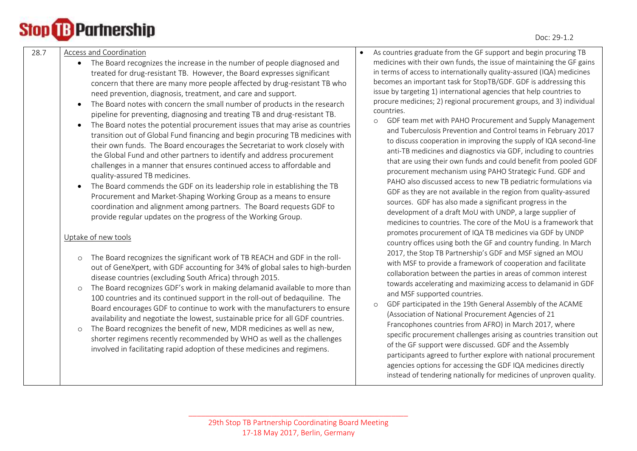#### Doc: 29-1.2

| 28.7 | Access and Coordination<br>The Board recognizes the increase in the number of people diagnosed and<br>$\bullet$<br>treated for drug-resistant TB. However, the Board expresses significant<br>concern that there are many more people affected by drug-resistant TB who<br>need prevention, diagnosis, treatment, and care and support.<br>The Board notes with concern the small number of products in the research<br>$\bullet$<br>pipeline for preventing, diagnosing and treating TB and drug-resistant TB.<br>The Board notes the potential procurement issues that may arise as countries<br>$\bullet$<br>transition out of Global Fund financing and begin procuring TB medicines with<br>their own funds. The Board encourages the Secretariat to work closely with<br>the Global Fund and other partners to identify and address procurement<br>challenges in a manner that ensures continued access to affordable and<br>quality-assured TB medicines. |         | As countries graduate from the GF support and begin procuring TB<br>medicines with their own funds, the issue of maintaining the GF gains<br>in terms of access to internationally quality-assured (IQA) medicines<br>becomes an important task for StopTB/GDF. GDF is addressing this<br>issue by targeting 1) international agencies that help countries to<br>procure medicines; 2) regional procurement groups, and 3) individual<br>countries.<br>GDF team met with PAHO Procurement and Supply Management<br>$\circ$<br>and Tuberculosis Prevention and Control teams in February 2017<br>to discuss cooperation in improving the supply of IQA second-line<br>anti-TB medicines and diagnostics via GDF, including to countries<br>that are using their own funds and could benefit from pooled GDF<br>procurement mechanism using PAHO Strategic Fund. GDF and<br>PAHO also discussed access to new TB pediatric formulations via |
|------|------------------------------------------------------------------------------------------------------------------------------------------------------------------------------------------------------------------------------------------------------------------------------------------------------------------------------------------------------------------------------------------------------------------------------------------------------------------------------------------------------------------------------------------------------------------------------------------------------------------------------------------------------------------------------------------------------------------------------------------------------------------------------------------------------------------------------------------------------------------------------------------------------------------------------------------------------------------|---------|-------------------------------------------------------------------------------------------------------------------------------------------------------------------------------------------------------------------------------------------------------------------------------------------------------------------------------------------------------------------------------------------------------------------------------------------------------------------------------------------------------------------------------------------------------------------------------------------------------------------------------------------------------------------------------------------------------------------------------------------------------------------------------------------------------------------------------------------------------------------------------------------------------------------------------------------|
|      | The Board commends the GDF on its leadership role in establishing the TB<br>$\bullet$<br>Procurement and Market-Shaping Working Group as a means to ensure<br>coordination and alignment among partners. The Board requests GDF to<br>provide regular updates on the progress of the Working Group.<br>Uptake of new tools                                                                                                                                                                                                                                                                                                                                                                                                                                                                                                                                                                                                                                       |         | GDF as they are not available in the region from quality-assured<br>sources. GDF has also made a significant progress in the<br>development of a draft MoU with UNDP, a large supplier of<br>medicines to countries. The core of the MoU is a framework that<br>promotes procurement of IQA TB medicines via GDF by UNDP<br>country offices using both the GF and country funding. In March                                                                                                                                                                                                                                                                                                                                                                                                                                                                                                                                               |
|      | The Board recognizes the significant work of TB REACH and GDF in the roll-<br>$\circ$<br>out of GeneXpert, with GDF accounting for 34% of global sales to high-burden<br>disease countries (excluding South Africa) through 2015.<br>The Board recognizes GDF's work in making delamanid available to more than<br>$\circ$<br>100 countries and its continued support in the roll-out of bedaquiline. The<br>Board encourages GDF to continue to work with the manufacturers to ensure<br>availability and negotiate the lowest, sustainable price for all GDF countries.<br>The Board recognizes the benefit of new, MDR medicines as well as new,<br>$\circ$<br>shorter regimens recently recommended by WHO as well as the challenges<br>involved in facilitating rapid adoption of these medicines and regimens.                                                                                                                                             | $\circ$ | 2017, the Stop TB Partnership's GDF and MSF signed an MOU<br>with MSF to provide a framework of cooperation and facilitate<br>collaboration between the parties in areas of common interest<br>towards accelerating and maximizing access to delamanid in GDF<br>and MSF supported countries.<br>GDF participated in the 19th General Assembly of the ACAME<br>(Association of National Procurement Agencies of 21<br>Francophones countries from AFRO) in March 2017, where<br>specific procurement challenges arising as countries transition out<br>of the GF support were discussed. GDF and the Assembly<br>participants agreed to further explore with national procurement<br>agencies options for accessing the GDF IQA medicines directly<br>instead of tendering nationally for medicines of unproven quality.                                                                                                                  |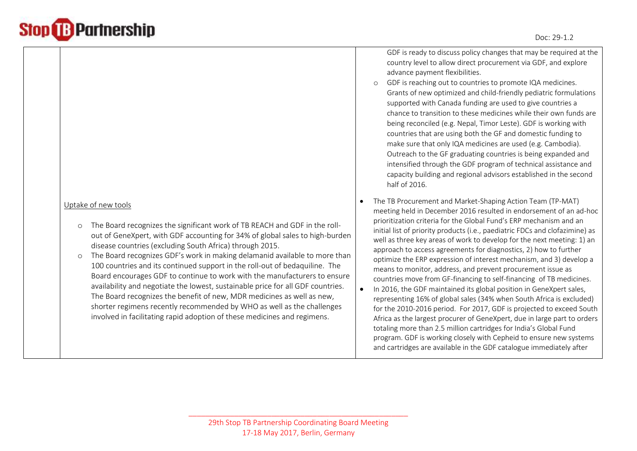#### Uptake of new tools

- o The Board recognizes the significant work of TB REACH and GDF in the rollout of GeneXpert, with GDF accounting for 34% of global sales to high-burden disease countries (excluding South Africa) through 2015.
- o The Board recognizes GDF's work in making delamanid available to more than 100 countries and its continued support in the roll-out of bedaquiline. The Board encourages GDF to continue to work with the manufacturers to ensure availability and negotiate the lowest, sustainable price for all GDF countries. The Board recognizes the benefit of new, MDR medicines as well as new, shorter regimens recently recommended by WHO as well as the challenges involved in facilitating rapid adoption of these medicines and regimens.

GDF is ready to discuss policy changes that may be required at the country level to allow direct procurement via GDF, and explore advance payment flexibilities.

- o GDF is reaching out to countries to promote IQA medicines. Grants of new optimized and child-friendly pediatric formulations supported with Canada funding are used to give countries a chance to transition to these medicines while their own funds are being reconciled (e.g. Nepal, Timor Leste). GDF is working with countries that are using both the GF and domestic funding to make sure that only IQA medicines are used (e.g. Cambodia). Outreach to the GF graduating countries is being expanded and intensified through the GDF program of technical assistance and capacity building and regional advisors established in the second half of 2016.
- The TB Procurement and Market-Shaping Action Team (TP-MAT) meeting held in December 2016 resulted in endorsement of an ad-hoc prioritization criteria for the Global Fund's ERP mechanism and an initial list of priority products (i.e., paediatric FDCs and clofazimine) as well as three key areas of work to develop for the next meeting: 1) an approach to access agreements for diagnostics, 2) how to further optimize the ERP expression of interest mechanism, and 3) develop a means to monitor, address, and prevent procurement issue as countries move from GF-financing to self-financing of TB medicines.
- In 2016, the GDF maintained its global position in GeneXpert sales, representing 16% of global sales (34% when South Africa is excluded) for the 2010-2016 period. For 2017, GDF is projected to exceed South Africa as the largest procurer of GeneXpert, due in large part to orders totaling more than 2.5 million cartridges for India's Global Fund program. GDF is working closely with Cepheid to ensure new systems and cartridges are available in the GDF catalogue immediately after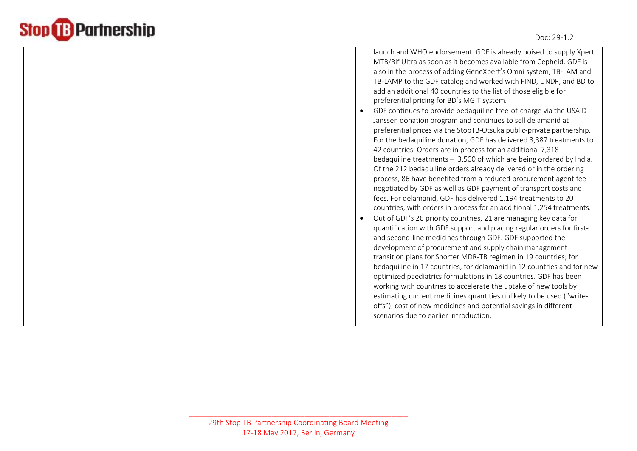

| launch and WHO endorsement. GDF is already poised to supply Xpert<br>MTB/Rif Ultra as soon as it becomes available from Cepheid. GDF is<br>also in the process of adding GeneXpert's Omni system, TB-LAM and |
|--------------------------------------------------------------------------------------------------------------------------------------------------------------------------------------------------------------|
|--------------------------------------------------------------------------------------------------------------------------------------------------------------------------------------------------------------|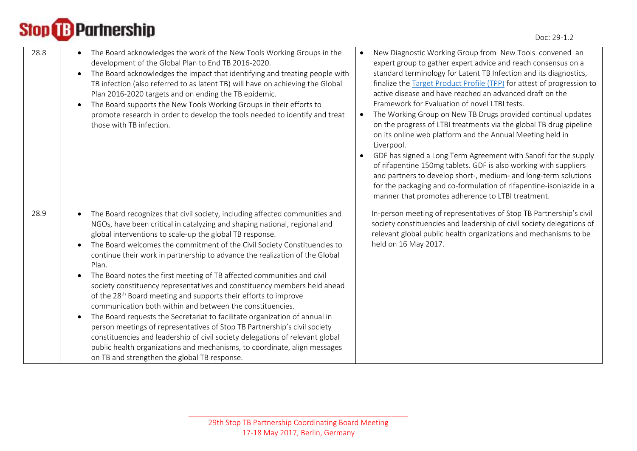| 28.8 | The Board acknowledges the work of the New Tools Working Groups in the<br>development of the Global Plan to End TB 2016-2020.<br>The Board acknowledges the impact that identifying and treating people with<br>$\bullet$<br>TB infection (also referred to as latent TB) will have on achieving the Global<br>Plan 2016-2020 targets and on ending the TB epidemic.<br>The Board supports the New Tools Working Groups in their efforts to<br>promote research in order to develop the tools needed to identify and treat<br>those with TB infection.                                                                                                                                                                                                                                                                                                                                                                                                                                                                                                                                        | New Diagnostic Working Group from New Tools convened an<br>expert group to gather expert advice and reach consensus on a<br>standard terminology for Latent TB Infection and its diagnostics,<br>finalize the Target Product Profile (TPP) for attest of progression to<br>active disease and have reached an advanced draft on the<br>Framework for Evaluation of novel LTBI tests.<br>The Working Group on New TB Drugs provided continual updates<br>$\bullet$<br>on the progress of LTBI treatments via the global TB drug pipeline<br>on its online web platform and the Annual Meeting held in<br>Liverpool.<br>GDF has signed a Long Term Agreement with Sanofi for the supply<br>of rifapentine 150mg tablets. GDF is also working with suppliers<br>and partners to develop short-, medium- and long-term solutions<br>for the packaging and co-formulation of rifapentine-isoniazide in a<br>manner that promotes adherence to LTBI treatment. |
|------|-----------------------------------------------------------------------------------------------------------------------------------------------------------------------------------------------------------------------------------------------------------------------------------------------------------------------------------------------------------------------------------------------------------------------------------------------------------------------------------------------------------------------------------------------------------------------------------------------------------------------------------------------------------------------------------------------------------------------------------------------------------------------------------------------------------------------------------------------------------------------------------------------------------------------------------------------------------------------------------------------------------------------------------------------------------------------------------------------|----------------------------------------------------------------------------------------------------------------------------------------------------------------------------------------------------------------------------------------------------------------------------------------------------------------------------------------------------------------------------------------------------------------------------------------------------------------------------------------------------------------------------------------------------------------------------------------------------------------------------------------------------------------------------------------------------------------------------------------------------------------------------------------------------------------------------------------------------------------------------------------------------------------------------------------------------------|
| 28.9 | The Board recognizes that civil society, including affected communities and<br>$\bullet$<br>NGOs, have been critical in catalyzing and shaping national, regional and<br>global interventions to scale-up the global TB response.<br>The Board welcomes the commitment of the Civil Society Constituencies to<br>continue their work in partnership to advance the realization of the Global<br>Plan.<br>The Board notes the first meeting of TB affected communities and civil<br>society constituency representatives and constituency members held ahead<br>of the 28 <sup>th</sup> Board meeting and supports their efforts to improve<br>communication both within and between the constituencies.<br>The Board requests the Secretariat to facilitate organization of annual in<br>$\bullet$<br>person meetings of representatives of Stop TB Partnership's civil society<br>constituencies and leadership of civil society delegations of relevant global<br>public health organizations and mechanisms, to coordinate, align messages<br>on TB and strengthen the global TB response. | In-person meeting of representatives of Stop TB Partnership's civil<br>society constituencies and leadership of civil society delegations of<br>relevant global public health organizations and mechanisms to be<br>held on 16 May 2017.                                                                                                                                                                                                                                                                                                                                                                                                                                                                                                                                                                                                                                                                                                                 |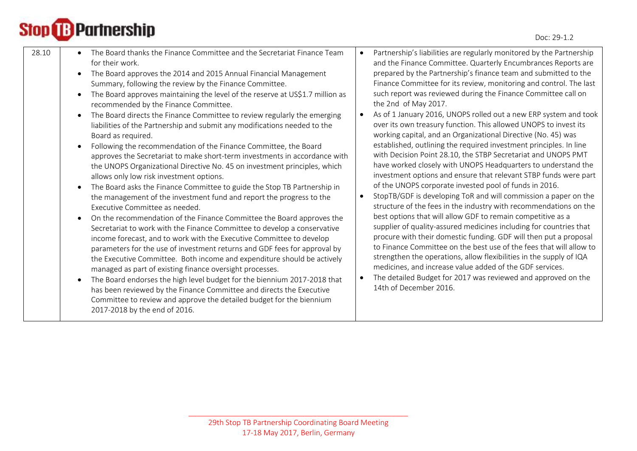| 28.10 | The Board thanks the Finance Committee and the Secretariat Finance Team<br>for their work.<br>The Board approves the 2014 and 2015 Annual Financial Management<br>Summary, following the review by the Finance Committee.<br>The Board approves maintaining the level of the reserve at US\$1.7 million as<br>$\bullet$<br>recommended by the Finance Committee.<br>The Board directs the Finance Committee to review regularly the emerging<br>$\bullet$<br>liabilities of the Partnership and submit any modifications needed to the<br>Board as required.<br>Following the recommendation of the Finance Committee, the Board<br>$\bullet$<br>approves the Secretariat to make short-term investments in accordance with<br>the UNOPS Organizational Directive No. 45 on investment principles, which<br>allows only low risk investment options.<br>The Board asks the Finance Committee to guide the Stop TB Partnership in<br>the management of the investment fund and report the progress to the<br>Executive Committee as needed.<br>On the recommendation of the Finance Committee the Board approves the<br>Secretariat to work with the Finance Committee to develop a conservative<br>income forecast, and to work with the Executive Committee to develop<br>parameters for the use of investment returns and GDF fees for approval by<br>the Executive Committee. Both income and expenditure should be actively<br>managed as part of existing finance oversight processes.<br>The Board endorses the high level budget for the biennium 2017-2018 that<br>has been reviewed by the Finance Committee and directs the Executive<br>Committee to review and approve the detailed budget for the biennium<br>2017-2018 by the end of 2016. | $\bullet$<br>$\bullet$<br>$\bullet$ | Partnership's liabilities are regularly monitored by the Partnership<br>and the Finance Committee. Quarterly Encumbrances Reports are<br>prepared by the Partnership's finance team and submitted to the<br>Finance Committee for its review, monitoring and control. The last<br>such report was reviewed during the Finance Committee call on<br>the 2nd of May 2017.<br>As of 1 January 2016, UNOPS rolled out a new ERP system and took<br>over its own treasury function. This allowed UNOPS to invest its<br>working capital, and an Organizational Directive (No. 45) was<br>established, outlining the required investment principles. In line<br>with Decision Point 28.10, the STBP Secretariat and UNOPS PMT<br>have worked closely with UNOPS Headquarters to understand the<br>investment options and ensure that relevant STBP funds were part<br>of the UNOPS corporate invested pool of funds in 2016.<br>StopTB/GDF is developing ToR and will commission a paper on the<br>structure of the fees in the industry with recommendations on the<br>best options that will allow GDF to remain competitive as a<br>supplier of quality-assured medicines including for countries that<br>procure with their domestic funding. GDF will then put a proposal<br>to Finance Committee on the best use of the fees that will allow to<br>strengthen the operations, allow flexibilities in the supply of IQA<br>medicines, and increase value added of the GDF services.<br>The detailed Budget for 2017 was reviewed and approved on the<br>14th of December 2016. |
|-------|----------------------------------------------------------------------------------------------------------------------------------------------------------------------------------------------------------------------------------------------------------------------------------------------------------------------------------------------------------------------------------------------------------------------------------------------------------------------------------------------------------------------------------------------------------------------------------------------------------------------------------------------------------------------------------------------------------------------------------------------------------------------------------------------------------------------------------------------------------------------------------------------------------------------------------------------------------------------------------------------------------------------------------------------------------------------------------------------------------------------------------------------------------------------------------------------------------------------------------------------------------------------------------------------------------------------------------------------------------------------------------------------------------------------------------------------------------------------------------------------------------------------------------------------------------------------------------------------------------------------------------------------------------------------------------------------------------------------------------------------------------|-------------------------------------|-------------------------------------------------------------------------------------------------------------------------------------------------------------------------------------------------------------------------------------------------------------------------------------------------------------------------------------------------------------------------------------------------------------------------------------------------------------------------------------------------------------------------------------------------------------------------------------------------------------------------------------------------------------------------------------------------------------------------------------------------------------------------------------------------------------------------------------------------------------------------------------------------------------------------------------------------------------------------------------------------------------------------------------------------------------------------------------------------------------------------------------------------------------------------------------------------------------------------------------------------------------------------------------------------------------------------------------------------------------------------------------------------------------------------------------------------------------------------------------------------------------------------------------------------------------------------------|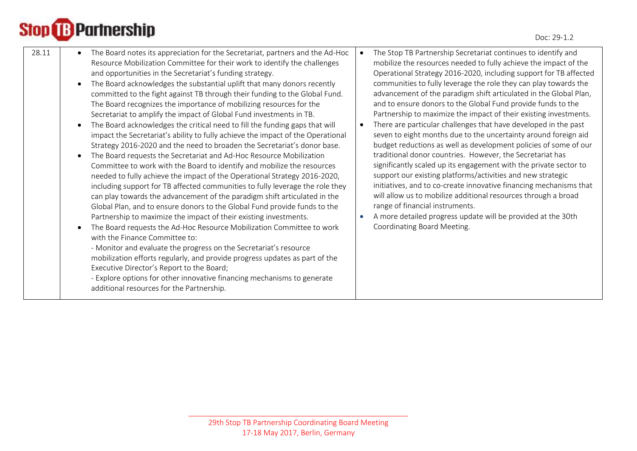| 28.11 | The Board notes its appreciation for the Secretariat, partners and the Ad-Hoc<br>Resource Mobilization Committee for their work to identify the challenges<br>and opportunities in the Secretariat's funding strategy.<br>The Board acknowledges the substantial uplift that many donors recently<br>committed to the fight against TB through their funding to the Global Fund.<br>The Board recognizes the importance of mobilizing resources for the<br>Secretariat to amplify the impact of Global Fund investments in TB.<br>The Board acknowledges the critical need to fill the funding gaps that will<br>impact the Secretariat's ability to fully achieve the impact of the Operational<br>Strategy 2016-2020 and the need to broaden the Secretariat's donor base.<br>The Board requests the Secretariat and Ad-Hoc Resource Mobilization<br>Committee to work with the Board to identify and mobilize the resources<br>needed to fully achieve the impact of the Operational Strategy 2016-2020,<br>including support for TB affected communities to fully leverage the role they<br>can play towards the advancement of the paradigm shift articulated in the<br>Global Plan, and to ensure donors to the Global Fund provide funds to the<br>Partnership to maximize the impact of their existing investments.<br>The Board requests the Ad-Hoc Resource Mobilization Committee to work<br>with the Finance Committee to:<br>- Monitor and evaluate the progress on the Secretariat's resource<br>mobilization efforts regularly, and provide progress updates as part of the<br>Executive Director's Report to the Board;<br>- Explore options for other innovative financing mechanisms to generate<br>additional resources for the Partnership. | The Stop TB Partnership Secretariat continues to identify and<br>mobilize the resources needed to fully achieve the impact of the<br>Operational Strategy 2016-2020, including support for TB affected<br>communities to fully leverage the role they can play towards the<br>advancement of the paradigm shift articulated in the Global Plan,<br>and to ensure donors to the Global Fund provide funds to the<br>Partnership to maximize the impact of their existing investments.<br>There are particular challenges that have developed in the past<br>seven to eight months due to the uncertainty around foreign aid<br>budget reductions as well as development policies of some of our<br>traditional donor countries. However, the Secretariat has<br>significantly scaled up its engagement with the private sector to<br>support our existing platforms/activities and new strategic<br>initiatives, and to co-create innovative financing mechanisms that<br>will allow us to mobilize additional resources through a broad<br>range of financial instruments.<br>A more detailed progress update will be provided at the 30th<br>Coordinating Board Meeting. |
|-------|-----------------------------------------------------------------------------------------------------------------------------------------------------------------------------------------------------------------------------------------------------------------------------------------------------------------------------------------------------------------------------------------------------------------------------------------------------------------------------------------------------------------------------------------------------------------------------------------------------------------------------------------------------------------------------------------------------------------------------------------------------------------------------------------------------------------------------------------------------------------------------------------------------------------------------------------------------------------------------------------------------------------------------------------------------------------------------------------------------------------------------------------------------------------------------------------------------------------------------------------------------------------------------------------------------------------------------------------------------------------------------------------------------------------------------------------------------------------------------------------------------------------------------------------------------------------------------------------------------------------------------------------------------------------------------------------------------------------------------------------------------------------|---------------------------------------------------------------------------------------------------------------------------------------------------------------------------------------------------------------------------------------------------------------------------------------------------------------------------------------------------------------------------------------------------------------------------------------------------------------------------------------------------------------------------------------------------------------------------------------------------------------------------------------------------------------------------------------------------------------------------------------------------------------------------------------------------------------------------------------------------------------------------------------------------------------------------------------------------------------------------------------------------------------------------------------------------------------------------------------------------------------------------------------------------------------------------|
|-------|-----------------------------------------------------------------------------------------------------------------------------------------------------------------------------------------------------------------------------------------------------------------------------------------------------------------------------------------------------------------------------------------------------------------------------------------------------------------------------------------------------------------------------------------------------------------------------------------------------------------------------------------------------------------------------------------------------------------------------------------------------------------------------------------------------------------------------------------------------------------------------------------------------------------------------------------------------------------------------------------------------------------------------------------------------------------------------------------------------------------------------------------------------------------------------------------------------------------------------------------------------------------------------------------------------------------------------------------------------------------------------------------------------------------------------------------------------------------------------------------------------------------------------------------------------------------------------------------------------------------------------------------------------------------------------------------------------------------------------------------------------------------|---------------------------------------------------------------------------------------------------------------------------------------------------------------------------------------------------------------------------------------------------------------------------------------------------------------------------------------------------------------------------------------------------------------------------------------------------------------------------------------------------------------------------------------------------------------------------------------------------------------------------------------------------------------------------------------------------------------------------------------------------------------------------------------------------------------------------------------------------------------------------------------------------------------------------------------------------------------------------------------------------------------------------------------------------------------------------------------------------------------------------------------------------------------------------|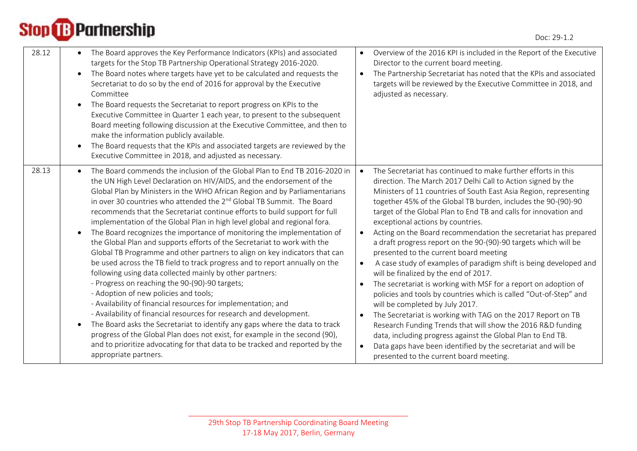| 28.12 | The Board approves the Key Performance Indicators (KPIs) and associated<br>targets for the Stop TB Partnership Operational Strategy 2016-2020.<br>The Board notes where targets have yet to be calculated and requests the<br>Secretariat to do so by the end of 2016 for approval by the Executive<br>Committee<br>The Board requests the Secretariat to report progress on KPIs to the<br>Executive Committee in Quarter 1 each year, to present to the subsequent<br>Board meeting following discussion at the Executive Committee, and then to<br>make the information publicly available.<br>The Board requests that the KPIs and associated targets are reviewed by the<br>$\bullet$<br>Executive Committee in 2018, and adjusted as necessary.                                                                                                                                                                                                                                                                                                                                                                                                                                                                                                                                                                                                                                    | Overview of the 2016 KPI is included in the Report of the Executive<br>Director to the current board meeting.<br>The Partnership Secretariat has noted that the KPIs and associated<br>targets will be reviewed by the Executive Committee in 2018, and<br>adjusted as necessary.                                                                                                                                                                                                                                                                                                                                                                                                                                                                                                                                                                                                                                                                                                                                                                                                                                                                                                                                                |
|-------|------------------------------------------------------------------------------------------------------------------------------------------------------------------------------------------------------------------------------------------------------------------------------------------------------------------------------------------------------------------------------------------------------------------------------------------------------------------------------------------------------------------------------------------------------------------------------------------------------------------------------------------------------------------------------------------------------------------------------------------------------------------------------------------------------------------------------------------------------------------------------------------------------------------------------------------------------------------------------------------------------------------------------------------------------------------------------------------------------------------------------------------------------------------------------------------------------------------------------------------------------------------------------------------------------------------------------------------------------------------------------------------|----------------------------------------------------------------------------------------------------------------------------------------------------------------------------------------------------------------------------------------------------------------------------------------------------------------------------------------------------------------------------------------------------------------------------------------------------------------------------------------------------------------------------------------------------------------------------------------------------------------------------------------------------------------------------------------------------------------------------------------------------------------------------------------------------------------------------------------------------------------------------------------------------------------------------------------------------------------------------------------------------------------------------------------------------------------------------------------------------------------------------------------------------------------------------------------------------------------------------------|
| 28.13 | The Board commends the inclusion of the Global Plan to End TB 2016-2020 in<br>$\bullet$<br>the UN High Level Declaration on HIV/AIDS, and the endorsement of the<br>Global Plan by Ministers in the WHO African Region and by Parliamentarians<br>in over 30 countries who attended the 2 <sup>nd</sup> Global TB Summit. The Board<br>recommends that the Secretariat continue efforts to build support for full<br>implementation of the Global Plan in high level global and regional fora.<br>The Board recognizes the importance of monitoring the implementation of<br>the Global Plan and supports efforts of the Secretariat to work with the<br>Global TB Programme and other partners to align on key indicators that can<br>be used across the TB field to track progress and to report annually on the<br>following using data collected mainly by other partners:<br>- Progress on reaching the 90-(90)-90 targets;<br>- Adoption of new policies and tools;<br>- Availability of financial resources for implementation; and<br>- Availability of financial resources for research and development.<br>The Board asks the Secretariat to identify any gaps where the data to track<br>progress of the Global Plan does not exist, for example in the second (90),<br>and to prioritize advocating for that data to be tracked and reported by the<br>appropriate partners. | The Secretariat has continued to make further efforts in this<br>$\bullet$<br>direction. The March 2017 Delhi Call to Action signed by the<br>Ministers of 11 countries of South East Asia Region, representing<br>together 45% of the Global TB burden, includes the 90-(90)-90<br>target of the Global Plan to End TB and calls for innovation and<br>exceptional actions by countries.<br>Acting on the Board recommendation the secretariat has prepared<br>$\bullet$<br>a draft progress report on the 90-(90)-90 targets which will be<br>presented to the current board meeting<br>A case study of examples of paradigm shift is being developed and<br>$\bullet$<br>will be finalized by the end of 2017.<br>The secretariat is working with MSF for a report on adoption of<br>$\bullet$<br>policies and tools by countries which is called "Out-of-Step" and<br>will be completed by July 2017.<br>The Secretariat is working with TAG on the 2017 Report on TB<br>$\bullet$<br>Research Funding Trends that will show the 2016 R&D funding<br>data, including progress against the Global Plan to End TB.<br>Data gaps have been identified by the secretariat and will be<br>presented to the current board meeting. |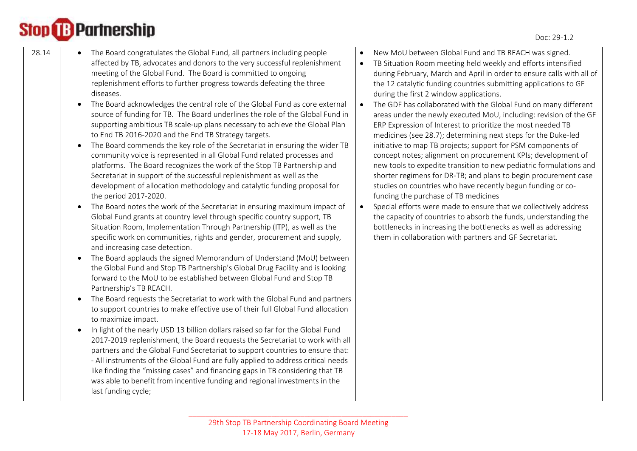| 28.14<br>The Board congratulates the Global Fund, all partners including people<br>$\bullet$<br>affected by TB, advocates and donors to the very successful replenishment<br>meeting of the Global Fund. The Board is committed to ongoing<br>replenishment efforts to further progress towards defeating the three<br>diseases.<br>The Board acknowledges the central role of the Global Fund as core external<br>source of funding for TB. The Board underlines the role of the Global Fund in<br>supporting ambitious TB scale-up plans necessary to achieve the Global Plan<br>to End TB 2016-2020 and the End TB Strategy targets.<br>The Board commends the key role of the Secretariat in ensuring the wider TB<br>$\bullet$<br>community voice is represented in all Global Fund related processes and<br>platforms. The Board recognizes the work of the Stop TB Partnership and<br>Secretariat in support of the successful replenishment as well as the<br>development of allocation methodology and catalytic funding proposal for<br>the period 2017-2020.<br>The Board notes the work of the Secretariat in ensuring maximum impact of<br>Global Fund grants at country level through specific country support, TB<br>Situation Room, Implementation Through Partnership (ITP), as well as the<br>specific work on communities, rights and gender, procurement and supply,<br>and increasing case detection.<br>The Board applauds the signed Memorandum of Understand (MoU) between<br>the Global Fund and Stop TB Partnership's Global Drug Facility and is looking<br>forward to the MoU to be established between Global Fund and Stop TB<br>Partnership's TB REACH.<br>The Board requests the Secretariat to work with the Global Fund and partners<br>$\bullet$<br>to support countries to make effective use of their full Global Fund allocation<br>to maximize impact.<br>In light of the nearly USD 13 billion dollars raised so far for the Global Fund<br>2017-2019 replenishment, the Board requests the Secretariat to work with all<br>partners and the Global Fund Secretariat to support countries to ensure that:<br>- All instruments of the Global Fund are fully applied to address critical needs<br>like finding the "missing cases" and financing gaps in TB considering that TB<br>was able to benefit from incentive funding and regional investments in the<br>last funding cycle; | New MoU between Global Fund and TB REACH was signed.<br>$\bullet$<br>TB Situation Room meeting held weekly and efforts intensified<br>during February, March and April in order to ensure calls with all of<br>the 12 catalytic funding countries submitting applications to GF<br>during the first 2 window applications.<br>The GDF has collaborated with the Global Fund on many different<br>areas under the newly executed MoU, including: revision of the GF<br>ERP Expression of Interest to prioritize the most needed TB<br>medicines (see 28.7); determining next steps for the Duke-led<br>initiative to map TB projects; support for PSM components of<br>concept notes; alignment on procurement KPIs; development of<br>new tools to expedite transition to new pediatric formulations and<br>shorter regimens for DR-TB; and plans to begin procurement case<br>studies on countries who have recently begun funding or co-<br>funding the purchase of TB medicines<br>Special efforts were made to ensure that we collectively address<br>the capacity of countries to absorb the funds, understanding the<br>bottlenecks in increasing the bottlenecks as well as addressing<br>them in collaboration with partners and GF Secretariat. |
|-----------------------------------------------------------------------------------------------------------------------------------------------------------------------------------------------------------------------------------------------------------------------------------------------------------------------------------------------------------------------------------------------------------------------------------------------------------------------------------------------------------------------------------------------------------------------------------------------------------------------------------------------------------------------------------------------------------------------------------------------------------------------------------------------------------------------------------------------------------------------------------------------------------------------------------------------------------------------------------------------------------------------------------------------------------------------------------------------------------------------------------------------------------------------------------------------------------------------------------------------------------------------------------------------------------------------------------------------------------------------------------------------------------------------------------------------------------------------------------------------------------------------------------------------------------------------------------------------------------------------------------------------------------------------------------------------------------------------------------------------------------------------------------------------------------------------------------------------------------------------------------------------------------------------------------------------------------------------------------------------------------------------------------------------------------------------------------------------------------------------------------------------------------------------------------------------------------------------------------------------------------------------------------------------------------------------------------------------------------------------------------------------------------------------------|----------------------------------------------------------------------------------------------------------------------------------------------------------------------------------------------------------------------------------------------------------------------------------------------------------------------------------------------------------------------------------------------------------------------------------------------------------------------------------------------------------------------------------------------------------------------------------------------------------------------------------------------------------------------------------------------------------------------------------------------------------------------------------------------------------------------------------------------------------------------------------------------------------------------------------------------------------------------------------------------------------------------------------------------------------------------------------------------------------------------------------------------------------------------------------------------------------------------------------------------------------|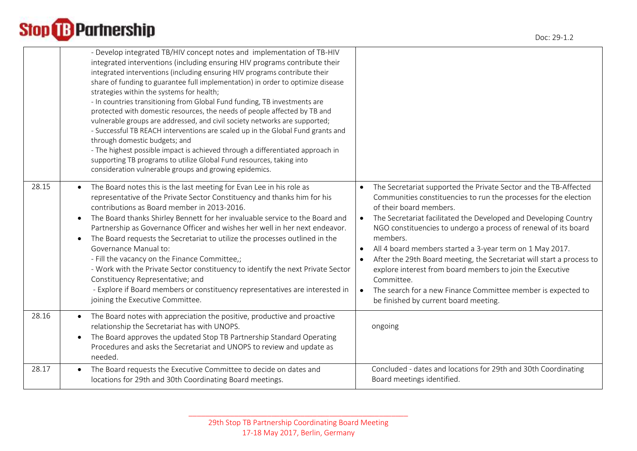|       | - Develop integrated TB/HIV concept notes and implementation of TB-HIV<br>integrated interventions (including ensuring HIV programs contribute their<br>integrated interventions (including ensuring HIV programs contribute their<br>share of funding to guarantee full implementation) in order to optimize disease<br>strategies within the systems for health;<br>- In countries transitioning from Global Fund funding, TB investments are<br>protected with domestic resources, the needs of people affected by TB and<br>vulnerable groups are addressed, and civil society networks are supported;<br>- Successful TB REACH interventions are scaled up in the Global Fund grants and<br>through domestic budgets; and<br>- The highest possible impact is achieved through a differentiated approach in<br>supporting TB programs to utilize Global Fund resources, taking into<br>consideration vulnerable groups and growing epidemics. |                                                                                                                                                                                                                                                                                                                                                                                                                                                                                                                                                                                                                                                                                    |
|-------|----------------------------------------------------------------------------------------------------------------------------------------------------------------------------------------------------------------------------------------------------------------------------------------------------------------------------------------------------------------------------------------------------------------------------------------------------------------------------------------------------------------------------------------------------------------------------------------------------------------------------------------------------------------------------------------------------------------------------------------------------------------------------------------------------------------------------------------------------------------------------------------------------------------------------------------------------|------------------------------------------------------------------------------------------------------------------------------------------------------------------------------------------------------------------------------------------------------------------------------------------------------------------------------------------------------------------------------------------------------------------------------------------------------------------------------------------------------------------------------------------------------------------------------------------------------------------------------------------------------------------------------------|
| 28.15 | The Board notes this is the last meeting for Evan Lee in his role as<br>$\bullet$<br>representative of the Private Sector Constituency and thanks him for his<br>contributions as Board member in 2013-2016.<br>The Board thanks Shirley Bennett for her invaluable service to the Board and<br>$\bullet$<br>Partnership as Governance Officer and wishes her well in her next endeavor.<br>The Board requests the Secretariat to utilize the processes outlined in the<br>Governance Manual to:<br>- Fill the vacancy on the Finance Committee,;<br>- Work with the Private Sector constituency to identify the next Private Sector<br>Constituency Representative; and<br>- Explore if Board members or constituency representatives are interested in<br>joining the Executive Committee.                                                                                                                                                       | The Secretariat supported the Private Sector and the TB-Affected<br>$\bullet$<br>Communities constituencies to run the processes for the election<br>of their board members.<br>The Secretariat facilitated the Developed and Developing Country<br>$\bullet$<br>NGO constituencies to undergo a process of renewal of its board<br>members.<br>All 4 board members started a 3-year term on 1 May 2017.<br>After the 29th Board meeting, the Secretariat will start a process to<br>explore interest from board members to join the Executive<br>Committee.<br>The search for a new Finance Committee member is expected to<br>$\bullet$<br>be finished by current board meeting. |
| 28.16 | The Board notes with appreciation the positive, productive and proactive<br>$\bullet$<br>relationship the Secretariat has with UNOPS.<br>The Board approves the updated Stop TB Partnership Standard Operating<br>$\bullet$<br>Procedures and asks the Secretariat and UNOPS to review and update as<br>needed.                                                                                                                                                                                                                                                                                                                                                                                                                                                                                                                                                                                                                                    | ongoing                                                                                                                                                                                                                                                                                                                                                                                                                                                                                                                                                                                                                                                                            |
| 28.17 | The Board requests the Executive Committee to decide on dates and<br>$\bullet$<br>locations for 29th and 30th Coordinating Board meetings.                                                                                                                                                                                                                                                                                                                                                                                                                                                                                                                                                                                                                                                                                                                                                                                                         | Concluded - dates and locations for 29th and 30th Coordinating<br>Board meetings identified.                                                                                                                                                                                                                                                                                                                                                                                                                                                                                                                                                                                       |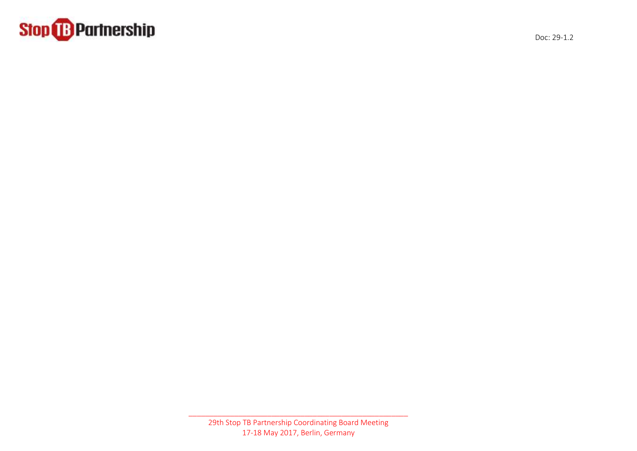

Doc: 29-1.2